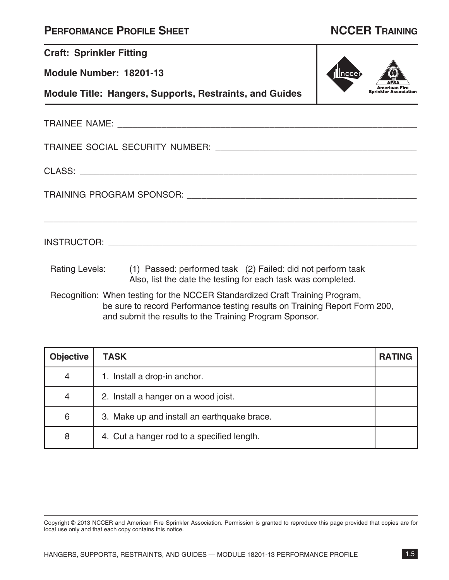## **PERFORMANCE PROFILE SHEET NCCER TRAINING**

| <b>Craft: Sprinkler Fitting</b>                                |                                                                                                                                                            |             |  |  |
|----------------------------------------------------------------|------------------------------------------------------------------------------------------------------------------------------------------------------------|-------------|--|--|
| Module Number: 18201-13                                        |                                                                                                                                                            | <b>ncce</b> |  |  |
| <b>Module Title: Hangers, Supports, Restraints, and Guides</b> |                                                                                                                                                            |             |  |  |
|                                                                |                                                                                                                                                            |             |  |  |
|                                                                |                                                                                                                                                            |             |  |  |
|                                                                |                                                                                                                                                            |             |  |  |
|                                                                |                                                                                                                                                            |             |  |  |
|                                                                |                                                                                                                                                            |             |  |  |
|                                                                | Rating Levels: (1) Passed: performed task (2) Failed: did not perform task<br>Also, list the date the testing for each task was completed.                 |             |  |  |
|                                                                | Recognition: When testing for the NCCER Standardized Craft Training Program,<br>be sure to record Performance testing results on Training Report Form 200, |             |  |  |

and submit the results to the Training Program Sponsor.

| <b>Objective</b> | <b>TASK</b>                                 | <b>RATING</b> |
|------------------|---------------------------------------------|---------------|
| 4                | 1. Install a drop-in anchor.                |               |
| 4                | 2. Install a hanger on a wood joist.        |               |
| 6                | 3. Make up and install an earthquake brace. |               |
| 8                | 4. Cut a hanger rod to a specified length.  |               |

Copyright © 2013 NCCER and American Fire Sprinkler Association. Permission is granted to reproduce this page provided that copies are for local use only and that each copy contains this notice.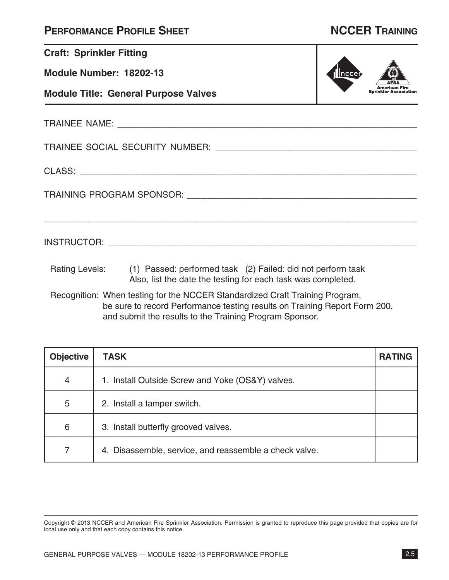|  | <b>PERFORMANCE PROFILE SHEET</b> |
|--|----------------------------------|
|--|----------------------------------|

| <b>Craft: Sprinkler Fitting</b>             |                                                                                                                                                                                                 |       |
|---------------------------------------------|-------------------------------------------------------------------------------------------------------------------------------------------------------------------------------------------------|-------|
| <b>Module Number: 18202-13</b>              |                                                                                                                                                                                                 | nccer |
| <b>Module Title: General Purpose Valves</b> | <b>Sprinkler Association</b>                                                                                                                                                                    |       |
|                                             |                                                                                                                                                                                                 |       |
|                                             |                                                                                                                                                                                                 |       |
|                                             |                                                                                                                                                                                                 |       |
|                                             |                                                                                                                                                                                                 |       |
|                                             | ,我们也不能在这里的时候,我们也不能在这里的时候,我们也不能在这里的时候,我们也不能会在这里的时候,我们也不能会在这里的时候,我们也不能会在这里的时候,我们也不                                                                                                                |       |
|                                             | Rating Levels: (1) Passed: performed task (2) Failed: did not perform task<br>Also, list the date the testing for each task was completed.                                                      |       |
|                                             | Recognition: When testing for the NCCER Standardized Craft Training Program,<br>the contract of the contract of the contract of the contract of the contract of the contract of the contract of |       |

be sure to record Performance testing results on Training Report Form 200, and submit the results to the Training Program Sponsor.

| <b>Objective</b> | <b>TASK</b>                                            | <b>RATING</b> |
|------------------|--------------------------------------------------------|---------------|
| $\overline{4}$   | 1. Install Outside Screw and Yoke (OS&Y) valves.       |               |
| 5                | 2. Install a tamper switch.                            |               |
| 6                | 3. Install butterfly grooved valves.                   |               |
| 7                | 4. Disassemble, service, and reassemble a check valve. |               |

Copyright © 2013 NCCER and American Fire Sprinkler Association. Permission is granted to reproduce this page provided that copies are for local use only and that each copy contains this notice.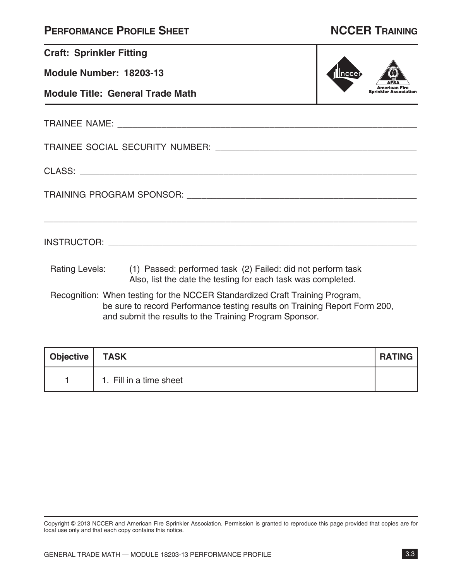| <b>PERFORMANCE PROFILE SHEET</b> |  |  |
|----------------------------------|--|--|
|----------------------------------|--|--|

## **Performance Profile Sheet NCCER Training**

| <b>Craft: Sprinkler Fitting</b>         |                                                                                                                                                            |           |                              |
|-----------------------------------------|------------------------------------------------------------------------------------------------------------------------------------------------------------|-----------|------------------------------|
| Module Number: 18203-13                 |                                                                                                                                                            | $ n$ ccer |                              |
| <b>Module Title: General Trade Math</b> |                                                                                                                                                            |           | <b>Sprinkler Association</b> |
|                                         |                                                                                                                                                            |           |                              |
|                                         |                                                                                                                                                            |           |                              |
|                                         |                                                                                                                                                            |           |                              |
|                                         |                                                                                                                                                            |           |                              |
|                                         |                                                                                                                                                            |           |                              |
|                                         | Rating Levels: (1) Passed: performed task (2) Failed: did not perform task<br>Also, list the date the testing for each task was completed.                 |           |                              |
|                                         | Recognition: When testing for the NCCER Standardized Craft Training Program,<br>be sure to record Performance testing results on Training Report Form 200, |           |                              |

and submit the results to the Training Program Sponsor.

| Objective   TASK |                         | <b>RATING</b> |
|------------------|-------------------------|---------------|
|                  | 1. Fill in a time sheet |               |

Copyright © 2013 NCCER and American Fire Sprinkler Association. Permission is granted to reproduce this page provided that copies are for local use only and that each copy contains this notice.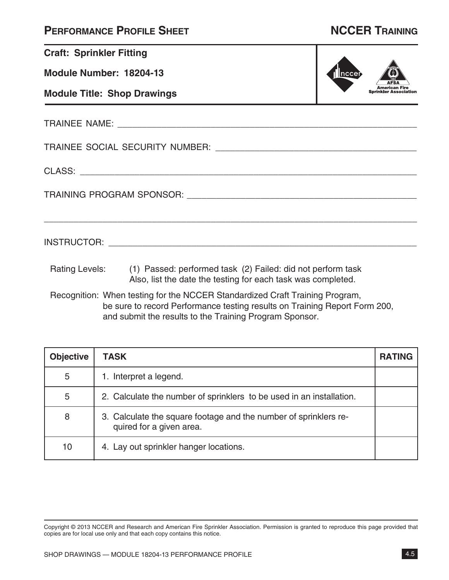| <b>PERFORMANCE PROFILE SHEET</b> |  |  |
|----------------------------------|--|--|
|----------------------------------|--|--|

| <b>Craft: Sprinkler Fitting</b> |                                                                                                                                                                                                                                                                                                                                                                              |          |  |  |  |
|---------------------------------|------------------------------------------------------------------------------------------------------------------------------------------------------------------------------------------------------------------------------------------------------------------------------------------------------------------------------------------------------------------------------|----------|--|--|--|
| Module Number: 18204-13         |                                                                                                                                                                                                                                                                                                                                                                              | $ n$ cer |  |  |  |
|                                 | <b>Module Title: Shop Drawings</b>                                                                                                                                                                                                                                                                                                                                           |          |  |  |  |
|                                 |                                                                                                                                                                                                                                                                                                                                                                              |          |  |  |  |
|                                 |                                                                                                                                                                                                                                                                                                                                                                              |          |  |  |  |
|                                 |                                                                                                                                                                                                                                                                                                                                                                              |          |  |  |  |
|                                 |                                                                                                                                                                                                                                                                                                                                                                              |          |  |  |  |
|                                 |                                                                                                                                                                                                                                                                                                                                                                              |          |  |  |  |
|                                 | Rating Levels: (1) Passed: performed task (2) Failed: did not perform task<br>Also, list the date the testing for each task was completed.<br>in the contract of the communication of the contract of the contract of the contract of the contract of the contract of the contract of the contract of the contract of the contract of the contract of the contract of the co |          |  |  |  |

Recognition: When testing for the NCCER Standardized Craft Training Program, be sure to record Performance testing results on Training Report Form 200, and submit the results to the Training Program Sponsor.

| <b>Objective</b> | <b>TASK</b>                                                                                  | <b>RATING</b> |
|------------------|----------------------------------------------------------------------------------------------|---------------|
| 5                | 1. Interpret a legend.                                                                       |               |
| 5                | 2. Calculate the number of sprinklers to be used in an installation.                         |               |
| 8                | 3. Calculate the square footage and the number of sprinklers re-<br>quired for a given area. |               |
| 10               | 4. Lay out sprinkler hanger locations.                                                       |               |

Copyright © 2013 NCCER and Research and American Fire Sprinkler Association. Permission is granted to reproduce this page provided that copies are for local use only and that each copy contains this notice.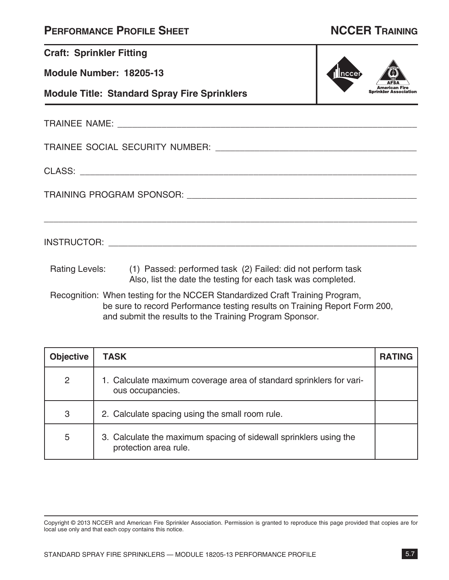|  | <b>PERFORMANCE PROFILE SHEET</b> |
|--|----------------------------------|
|--|----------------------------------|

| <b>Craft: Sprinkler Fitting</b> |                                                                                                                                            |                              |
|---------------------------------|--------------------------------------------------------------------------------------------------------------------------------------------|------------------------------|
| Module Number: 18205-13         |                                                                                                                                            | $ n$ cer                     |
|                                 | <b>Module Title: Standard Spray Fire Sprinklers</b>                                                                                        | <b>Sprinkler Association</b> |
|                                 |                                                                                                                                            |                              |
|                                 |                                                                                                                                            |                              |
|                                 |                                                                                                                                            |                              |
|                                 |                                                                                                                                            |                              |
|                                 |                                                                                                                                            |                              |
|                                 | Rating Levels: (1) Passed: performed task (2) Failed: did not perform task<br>Also, list the date the testing for each task was completed. |                              |
|                                 | Recognition: When testing for the NCCER Standardized Craft Training Program,                                                               |                              |

be sure to record Performance testing results on Training Report Form 200, and submit the results to the Training Program Sponsor.

| <b>Objective</b> | <b>TASK</b>                                                                                | <b>RATING</b> |
|------------------|--------------------------------------------------------------------------------------------|---------------|
| 2                | 1. Calculate maximum coverage area of standard sprinklers for vari-<br>ous occupancies.    |               |
| 3                | 2. Calculate spacing using the small room rule.                                            |               |
| 5                | 3. Calculate the maximum spacing of sidewall sprinklers using the<br>protection area rule. |               |

Copyright © 2013 NCCER and American Fire Sprinkler Association. Permission is granted to reproduce this page provided that copies are for local use only and that each copy contains this notice.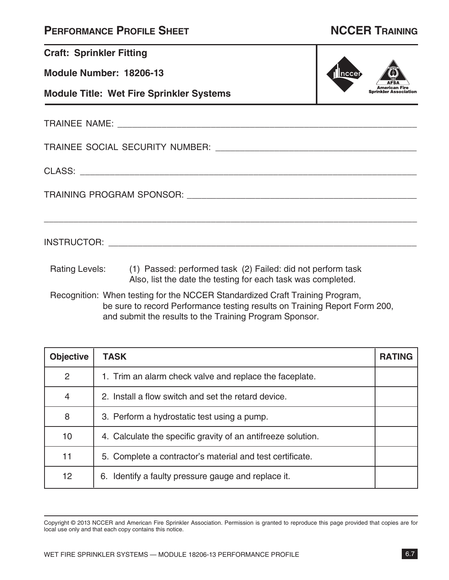|  | <b>PERFORMANCE PROFILE SHEET</b> |
|--|----------------------------------|
|--|----------------------------------|

| <b>Craft: Sprinkler Fitting</b> |                                                                                                                                            |       |
|---------------------------------|--------------------------------------------------------------------------------------------------------------------------------------------|-------|
| Module Number: 18206-13         |                                                                                                                                            | nccei |
|                                 | <b>Module Title: Wet Fire Sprinkler Systems</b>                                                                                            |       |
|                                 |                                                                                                                                            |       |
|                                 |                                                                                                                                            |       |
|                                 |                                                                                                                                            |       |
|                                 |                                                                                                                                            |       |
|                                 | ,我们也不能在这里的人,我们也不能在这里的人,我们也不能在这里的人,我们也不能在这里的人,我们也不能在这里的人,我们也不能在这里的人,我们也不能在这里的人,我们也                                                          |       |
|                                 | Rating Levels: (1) Passed: performed task (2) Failed: did not perform task<br>Also, list the date the testing for each task was completed. |       |
|                                 | Recognition: When testing for the NCCER Standardized Craft Training Program,                                                               |       |

be sure to record Performance testing results on Training Report Form 200, and submit the results to the Training Program Sponsor.

| <b>Objective</b> | <b>TASK</b>                                                  | <b>RATING</b> |
|------------------|--------------------------------------------------------------|---------------|
| $\overline{2}$   | 1. Trim an alarm check valve and replace the faceplate.      |               |
| $\overline{4}$   | 2. Install a flow switch and set the retard device.          |               |
| 8                | 3. Perform a hydrostatic test using a pump.                  |               |
| 10               | 4. Calculate the specific gravity of an antifreeze solution. |               |
| 11               | 5. Complete a contractor's material and test certificate.    |               |
| 12 <sub>2</sub>  | 6. Identify a faulty pressure gauge and replace it.          |               |

Copyright © 2013 NCCER and American Fire Sprinkler Association. Permission is granted to reproduce this page provided that copies are for local use only and that each copy contains this notice.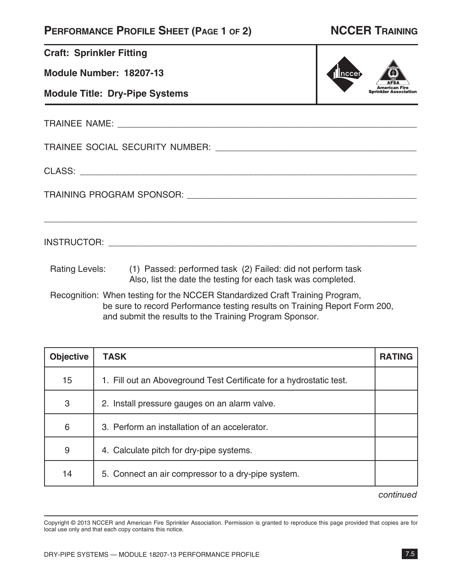### **Performance Profile Sheet (Page 1 of 2) NCCER Training**

American Fire<br>Sprinkler Association

∥ncc∈

| <b>Craft: Sprinkler Fitting</b> |  |
|---------------------------------|--|
|                                 |  |

**Module Number: 18207-13**

**Module Title: Dry-Pipe Systems**

TRAINEE NAME: \_\_\_\_\_\_\_\_\_\_\_\_\_\_\_\_\_\_\_\_\_\_\_\_\_\_\_\_\_\_\_\_\_\_\_\_\_\_\_\_\_\_\_\_\_\_\_\_\_\_\_\_\_\_\_\_\_\_\_\_\_

TRAINEE SOCIAL SECURITY NUMBER: \_\_\_\_\_\_\_\_\_\_\_\_\_\_\_\_\_\_\_\_\_\_\_\_\_\_\_\_\_\_\_\_\_\_\_\_\_\_\_\_\_

CLASS: \_\_\_\_\_\_\_\_\_\_\_\_\_\_\_\_\_\_\_\_\_\_\_\_\_\_\_\_\_\_\_\_\_\_\_\_\_\_\_\_\_\_\_\_\_\_\_\_\_\_\_\_\_\_\_\_\_\_\_\_\_\_\_\_\_\_\_\_

TRAINING PROGRAM SPONSOR: \_\_\_\_\_\_\_\_\_\_\_\_\_\_\_\_\_\_\_\_\_\_\_\_\_\_\_\_\_\_\_\_\_\_\_\_\_\_\_\_\_\_\_\_\_\_\_

INSTRUCTOR: \_\_\_\_\_\_\_\_\_\_\_\_\_\_\_\_\_\_\_\_\_\_\_\_\_\_\_\_\_\_\_\_\_\_\_\_\_\_\_\_\_\_\_\_\_\_\_\_\_\_\_\_\_\_\_\_\_\_\_\_\_\_\_

Rating Levels: (1) Passed: performed task (2) Failed: did not perform task Also, list the date the testing for each task was completed.

Recognition: When testing for the NCCER Standardized Craft Training Program, be sure to record Performance testing results on Training Report Form 200, and submit the results to the Training Program Sponsor.

\_\_\_\_\_\_\_\_\_\_\_\_\_\_\_\_\_\_\_\_\_\_\_\_\_\_\_\_\_\_\_\_\_\_\_\_\_\_\_\_\_\_\_\_\_\_\_\_\_\_\_\_\_\_\_\_\_\_\_\_\_\_\_\_\_\_\_\_\_\_\_\_\_\_\_\_

| <b>Objective</b> | <b>TASK</b>                                                         | <b>RATING</b> |
|------------------|---------------------------------------------------------------------|---------------|
| 15               | 1. Fill out an Aboveground Test Certificate for a hydrostatic test. |               |
| 3                | 2. Install pressure gauges on an alarm valve.                       |               |
| 6                | 3. Perform an installation of an accelerator.                       |               |
| 9                | 4. Calculate pitch for dry-pipe systems.                            |               |
| 14               | 5. Connect an air compressor to a dry-pipe system.                  |               |

### *continued*

Copyright © 2013 NCCER and American Fire Sprinkler Association. Permission is granted to reproduce this page provided that copies are for local use only and that each copy contains this notice.